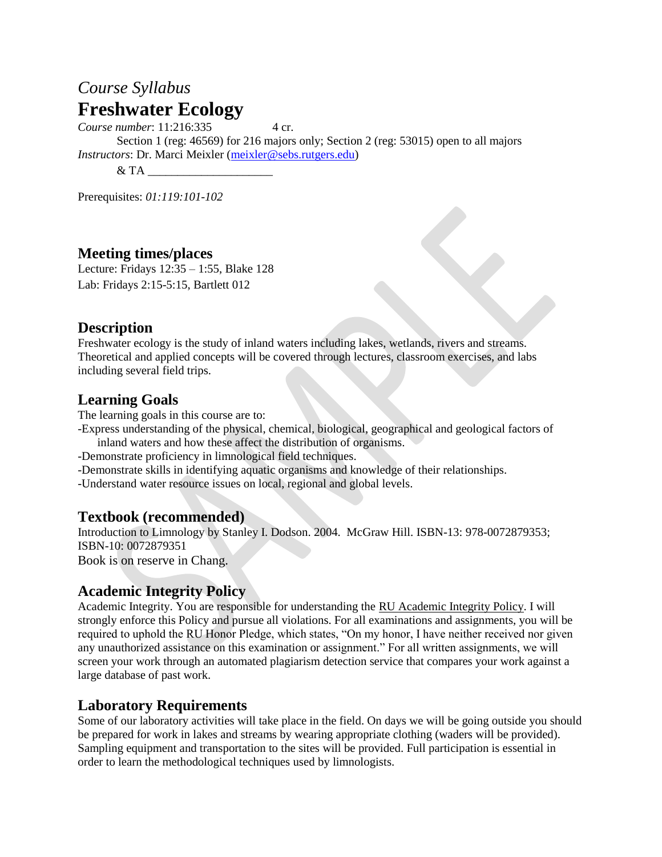# *Course Syllabus* **Freshwater Ecology**

*Course number*: 11:216:335 4 cr.

Section 1 (reg: 46569) for 216 majors only; Section 2 (reg: 53015) open to all majors *Instructors*: Dr. Marci Meixler [\(meixler@sebs.rutgers.edu\)](mailto:meixler@sebs.rutgers.edu)

 $&$  TA  $-$ 

Prerequisites: *01:119:101-102*

#### **Meeting times/places**

Lecture: Fridays 12:35 – 1:55, Blake 128 Lab: Fridays 2:15-5:15, Bartlett 012

#### **Description**

Freshwater ecology is the study of inland waters including lakes, wetlands, rivers and streams. Theoretical and applied concepts will be covered through lectures, classroom exercises, and labs including several field trips.

## **Learning Goals**

The learning goals in this course are to:

-Express understanding of the physical, chemical, biological, geographical and geological factors of inland waters and how these affect the distribution of organisms.

- -Demonstrate proficiency in limnological field techniques.
- -Demonstrate skills in identifying aquatic organisms and knowledge of their relationships.

-Understand water resource issues on local, regional and global levels.

#### **Textbook (recommended)**

Introduction to Limnology by Stanley I. Dodson. 2004. McGraw Hill. ISBN-13: 978-0072879353; ISBN-10: 0072879351 Book is on reserve in Chang.

#### **Academic Integrity Policy**

Academic Integrity. You are responsible for understanding the [RU Academic Integrity Policy.](https://slwordpress.rutgers.edu/academicintegrity/wp-content/uploads/sites/41/2014/11/AI_Policy_2013.pdf) I will strongly enforce this Policy and pursue all violations. For all examinations and assignments, you will be required to uphold the RU Honor Pledge, which states, "On my honor, I have neither received nor given any unauthorized assistance on this examination or assignment." For all written assignments, we will screen your work through an automated plagiarism detection service that compares your work against a large database of past work.

## **Laboratory Requirements**

Some of our laboratory activities will take place in the field. On days we will be going outside you should be prepared for work in lakes and streams by wearing appropriate clothing (waders will be provided). Sampling equipment and transportation to the sites will be provided. Full participation is essential in order to learn the methodological techniques used by limnologists.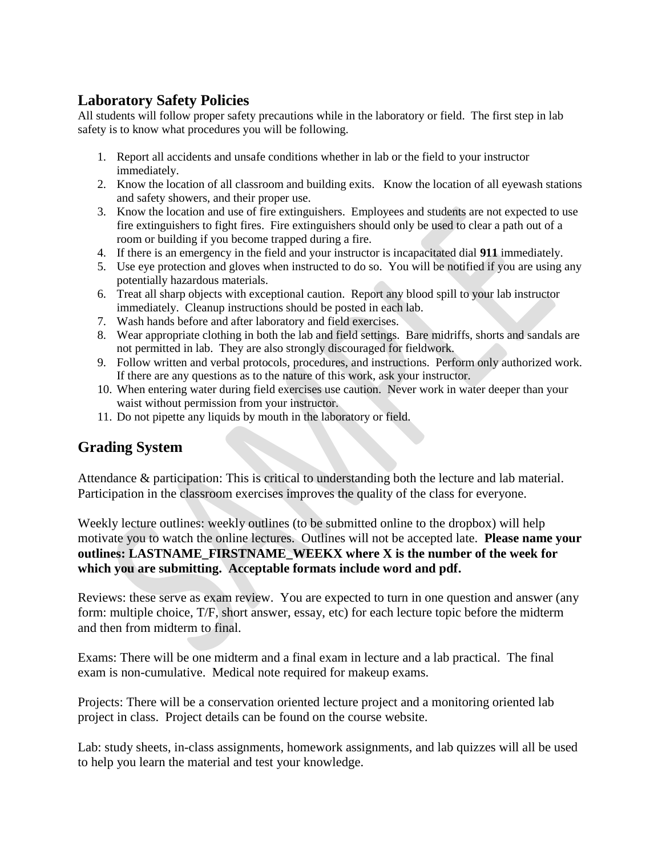## **Laboratory Safety Policies**

All students will follow proper safety precautions while in the laboratory or field. The first step in lab safety is to know what procedures you will be following.

- 1. Report all accidents and unsafe conditions whether in lab or the field to your instructor immediately.
- 2. Know the location of all classroom and building exits. Know the location of all eyewash stations and safety showers, and their proper use.
- 3. Know the location and use of fire extinguishers. Employees and students are not expected to use fire extinguishers to fight fires. Fire extinguishers should only be used to clear a path out of a room or building if you become trapped during a fire.
- 4. If there is an emergency in the field and your instructor is incapacitated dial **911** immediately.
- 5. Use eye protection and gloves when instructed to do so. You will be notified if you are using any potentially hazardous materials.
- 6. Treat all sharp objects with exceptional caution. Report any blood spill to your lab instructor immediately. Cleanup instructions should be posted in each lab.
- 7. Wash hands before and after laboratory and field exercises.
- 8. Wear appropriate clothing in both the lab and field settings. Bare midriffs, shorts and sandals are not permitted in lab. They are also strongly discouraged for fieldwork.
- 9. Follow written and verbal protocols, procedures, and instructions. Perform only authorized work. If there are any questions as to the nature of this work, ask your instructor.
- 10. When entering water during field exercises use caution. Never work in water deeper than your waist without permission from your instructor.
- 11. Do not pipette any liquids by mouth in the laboratory or field.

## **Grading System**

Attendance & participation: This is critical to understanding both the lecture and lab material. Participation in the classroom exercises improves the quality of the class for everyone.

Weekly lecture outlines: weekly outlines (to be submitted online to the dropbox) will help motivate you to watch the online lectures. Outlines will not be accepted late. **Please name your outlines: LASTNAME\_FIRSTNAME\_WEEKX where X is the number of the week for which you are submitting. Acceptable formats include word and pdf.** 

Reviews: these serve as exam review. You are expected to turn in one question and answer (any form: multiple choice, T/F, short answer, essay, etc) for each lecture topic before the midterm and then from midterm to final.

Exams: There will be one midterm and a final exam in lecture and a lab practical. The final exam is non-cumulative. Medical note required for makeup exams.

Projects: There will be a conservation oriented lecture project and a monitoring oriented lab project in class. Project details can be found on the course website.

Lab: study sheets, in-class assignments, homework assignments, and lab quizzes will all be used to help you learn the material and test your knowledge.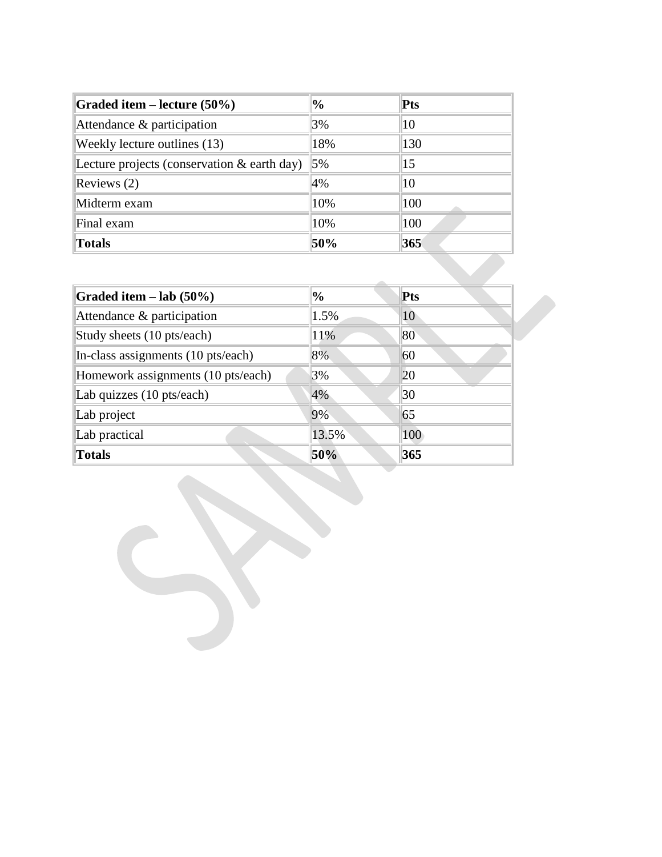| Graded item – lecture $(50\%)$                 | $\%$ | <b>Pts</b>      |  |
|------------------------------------------------|------|-----------------|--|
| Attendance & participation                     | 3%   | 10              |  |
| Weekly lecture outlines (13)                   | 18%  | 130             |  |
| Lecture projects (conservation $\&$ earth day) | 5%   | $\overline{15}$ |  |
| Reviews $(2)$                                  | 4%   | 10              |  |
| Midterm exam                                   | 10%  | 100             |  |
| Final exam                                     | 10%  | 100             |  |
| <b>Totals</b>                                  | 50%  | 365             |  |

| Graded item $-$ lab (50%)          | $\frac{1}{2}$ | Pts |  |
|------------------------------------|---------------|-----|--|
| Attendance & participation         | 1.5%          | 10  |  |
| Study sheets (10 pts/each)         | 11%           | 80  |  |
| In-class assignments (10 pts/each) | 8%            | 60  |  |
| Homework assignments (10 pts/each) | 3%            | 20  |  |
| Lab quizzes (10 pts/each)          | 4%            | 30  |  |
| Lab project                        | 9%            | 65  |  |
| Lab practical                      | 13.5%         | 100 |  |
| <b>Totals</b>                      | 50%           | 365 |  |
|                                    |               |     |  |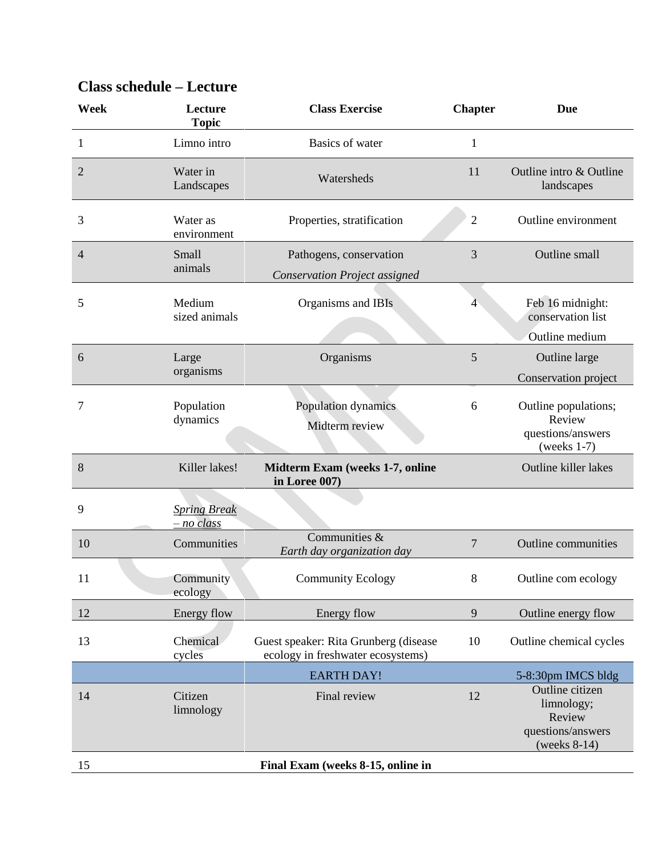| Week           | Lecture<br><b>Topic</b>             | <b>Class Exercise</b>                                                      | <b>Chapter</b> | Due                                                                             |
|----------------|-------------------------------------|----------------------------------------------------------------------------|----------------|---------------------------------------------------------------------------------|
| 1              | Limno intro                         | Basics of water                                                            | $\mathbf{1}$   |                                                                                 |
| $\overline{2}$ | Water in<br>Landscapes              | Watersheds                                                                 | 11             | Outline intro & Outline<br>landscapes                                           |
| 3              | Water as<br>environment             | Properties, stratification                                                 | $\overline{2}$ | Outline environment                                                             |
| 4              | Small<br>animals                    | Pathogens, conservation<br><b>Conservation Project assigned</b>            | 3              | Outline small                                                                   |
| 5              | Medium<br>sized animals             | Organisms and IBIs                                                         | $\overline{4}$ | Feb 16 midnight:<br>conservation list<br>Outline medium                         |
| 6              | Large<br>organisms                  | Organisms                                                                  | 5              | Outline large<br>Conservation project                                           |
| 7              | Population<br>dynamics              | Population dynamics<br>Midterm review                                      | 6              | Outline populations;<br>Review<br>questions/answers<br>(weeks $1-7$ )           |
| 8              | Killer lakes!                       | <b>Midterm Exam (weeks 1-7, online</b><br>in Loree 007)                    |                | Outline killer lakes                                                            |
| 9              | <b>Spring Break</b><br>$- no$ class |                                                                            |                |                                                                                 |
| 10             | Communities                         | Communities &<br>Earth day organization day                                | $\overline{7}$ | Outline communities                                                             |
| 11             | Community<br>ecology                | <b>Community Ecology</b>                                                   | 8              | Outline com ecology                                                             |
| 12             | Energy flow                         | Energy flow                                                                | $\overline{9}$ | Outline energy flow                                                             |
| 13             | Chemical<br>cycles                  | Guest speaker: Rita Grunberg (disease<br>ecology in freshwater ecosystems) | 10             | Outline chemical cycles                                                         |
|                |                                     | <b>EARTH DAY!</b>                                                          |                | 5-8:30pm IMCS bldg                                                              |
| 14             | Citizen<br>limnology                | Final review                                                               | 12             | Outline citizen<br>limnology;<br>Review<br>questions/answers<br>(weeks $8-14$ ) |
| 15             |                                     | Final Exam (weeks 8-15, online in                                          |                |                                                                                 |

# **Class schedule – Lecture**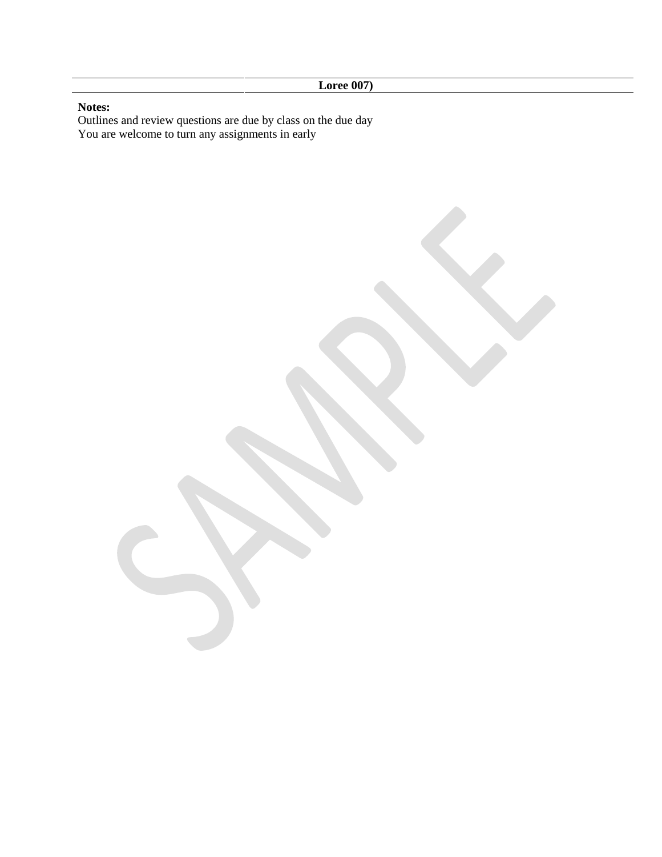#### **Notes:**

Outlines and review questions are due by class on the due day You are welcome to turn any assignments in early